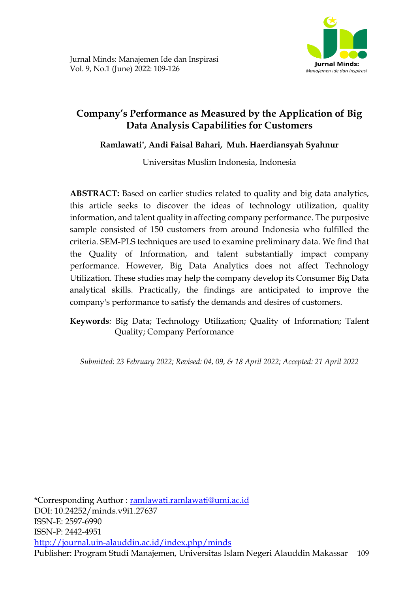

# **Company's Performance as Measured by the Application of Big Data Analysis Capabilities for Customers**

## **Ramlawati\* , Andi Faisal Bahari, Muh. Haerdiansyah Syahnur**

Universitas Muslim Indonesia, Indonesia

**ABSTRACT:** Based on earlier studies related to quality and big data analytics, this article seeks to discover the ideas of technology utilization, quality information, and talent quality in affecting company performance. The purposive sample consisted of 150 customers from around Indonesia who fulfilled the criteria. SEM-PLS techniques are used to examine preliminary data. We find that the Quality of Information, and talent substantially impact company performance. However, Big Data Analytics does not affect Technology Utilization. These studies may help the company develop its Consumer Big Data analytical skills. Practically, the findings are anticipated to improve the company's performance to satisfy the demands and desires of customers.

**Keywords***:* Big Data; Technology Utilization; Quality of Information; Talent Quality; Company Performance

*Submitted: 23 February 2022; Revised: 04, 09, & 18 April 2022; Accepted: 21 April 2022*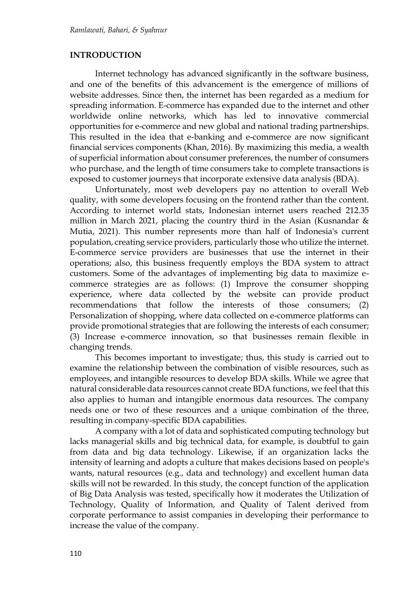#### **INTRODUCTION**

Internet technology has advanced significantly in the software business, and one of the benefits of this advancement is the emergence of millions of website addresses. Since then, the internet has been regarded as a medium for spreading information. E-commerce has expanded due to the internet and other worldwide online networks, which has led to innovative commercial opportunities for e-commerce and new global and national trading partnerships. This resulted in the idea that e-banking and e-commerce are now significant financial services components (Khan, 2016). By maximizing this media, a wealth of superficial information about consumer preferences, the number of consumers who purchase, and the length of time consumers take to complete transactions is exposed to customer journeys that incorporate extensive data analysis (BDA).

Unfortunately, most web developers pay no attention to overall Web quality, with some developers focusing on the frontend rather than the content. According to internet world stats, Indonesian internet users reached 212.35 million in March 2021, placing the country third in the Asian (Kusnandar & Mutia, 2021). This number represents more than half of Indonesia's current population, creating service providers, particularly those who utilize the internet. E-commerce service providers are businesses that use the internet in their operations; also, this business frequently employs the BDA system to attract customers. Some of the advantages of implementing big data to maximize ecommerce strategies are as follows: (1) Improve the consumer shopping experience, where data collected by the website can provide product recommendations that follow the interests of those consumers; (2) Personalization of shopping, where data collected on e-commerce platforms can provide promotional strategies that are following the interests of each consumer; (3) Increase e-commerce innovation, so that businesses remain flexible in changing trends.

This becomes important to investigate; thus, this study is carried out to examine the relationship between the combination of visible resources, such as employees, and intangible resources to develop BDA skills. While we agree that natural considerable data resources cannot create BDA functions, we feel that this also applies to human and intangible enormous data resources. The company needs one or two of these resources and a unique combination of the three, resulting in company-specific BDA capabilities.

A company with a lot of data and sophisticated computing technology but lacks managerial skills and big technical data, for example, is doubtful to gain from data and big data technology. Likewise, if an organization lacks the intensity of learning and adopts a culture that makes decisions based on people's wants, natural resources (e.g., data and technology) and excellent human data skills will not be rewarded. In this study, the concept function of the application of Big Data Analysis was tested, specifically how it moderates the Utilization of Technology, Quality of Information, and Quality of Talent derived from corporate performance to assist companies in developing their performance to increase the value of the company.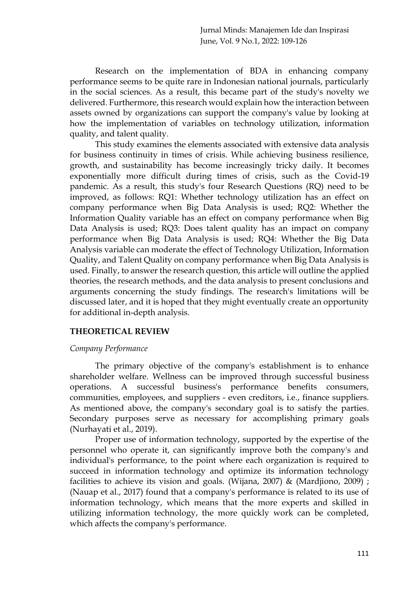Research on the implementation of BDA in enhancing company performance seems to be quite rare in Indonesian national journals, particularly in the social sciences. As a result, this became part of the study's novelty we delivered. Furthermore, this research would explain how the interaction between assets owned by organizations can support the company's value by looking at how the implementation of variables on technology utilization, information quality, and talent quality.

This study examines the elements associated with extensive data analysis for business continuity in times of crisis. While achieving business resilience, growth, and sustainability has become increasingly tricky daily. It becomes exponentially more difficult during times of crisis, such as the Covid-19 pandemic. As a result, this study's four Research Questions (RQ) need to be improved, as follows: RQ1: Whether technology utilization has an effect on company performance when Big Data Analysis is used; RQ2: Whether the Information Quality variable has an effect on company performance when Big Data Analysis is used; RQ3: Does talent quality has an impact on company performance when Big Data Analysis is used; RQ4: Whether the Big Data Analysis variable can moderate the effect of Technology Utilization, Information Quality, and Talent Quality on company performance when Big Data Analysis is used. Finally, to answer the research question, this article will outline the applied theories, the research methods, and the data analysis to present conclusions and arguments concerning the study findings. The research's limitations will be discussed later, and it is hoped that they might eventually create an opportunity for additional in-depth analysis.

## **THEORETICAL REVIEW**

## *Company Performance*

The primary objective of the company's establishment is to enhance shareholder welfare. Wellness can be improved through successful business operations. A successful business's performance benefits consumers, communities, employees, and suppliers - even creditors, i.e., finance suppliers. As mentioned above, the company's secondary goal is to satisfy the parties. Secondary purposes serve as necessary for accomplishing primary goals (Nurhayati et al., 2019).

Proper use of information technology, supported by the expertise of the personnel who operate it, can significantly improve both the company's and individual's performance, to the point where each organization is required to succeed in information technology and optimize its information technology facilities to achieve its vision and goals. (Wijana, 2007) & (Mardjiono, 2009) ; (Nauap et al., 2017) found that a company's performance is related to its use of information technology, which means that the more experts and skilled in utilizing information technology, the more quickly work can be completed, which affects the company's performance.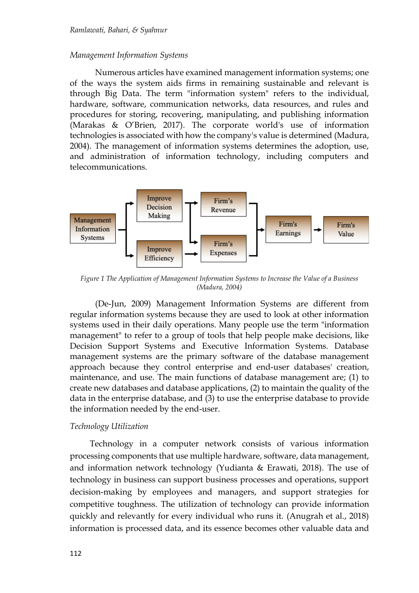#### *Management Information Systems*

Numerous articles have examined management information systems; one of the ways the system aids firms in remaining sustainable and relevant is through Big Data. The term "information system" refers to the individual, hardware, software, communication networks, data resources, and rules and procedures for storing, recovering, manipulating, and publishing information (Marakas & O'Brien, 2017). The corporate world's use of information technologies is associated with how the company's value is determined (Madura, 2004). The management of information systems determines the adoption, use, and administration of information technology, including computers and telecommunications.



*Figure 1 The Application of Management Information Systems to Increase the Value of a Business (Madura, 2004)*

(De-Jun, 2009) Management Information Systems are different from regular information systems because they are used to look at other information systems used in their daily operations. Many people use the term "information management" to refer to a group of tools that help people make decisions, like Decision Support Systems and Executive Information Systems. Database management systems are the primary software of the database management approach because they control enterprise and end-user databases' creation, maintenance, and use. The main functions of database management are; (1) to create new databases and database applications, (2) to maintain the quality of the data in the enterprise database, and (3) to use the enterprise database to provide the information needed by the end-user.

#### *Technology Utilization*

Technology in a computer network consists of various information processing components that use multiple hardware, software, data management, and information network technology (Yudianta & Erawati, 2018). The use of technology in business can support business processes and operations, support decision-making by employees and managers, and support strategies for competitive toughness. The utilization of technology can provide information quickly and relevantly for every individual who runs it. (Anugrah et al., 2018) information is processed data, and its essence becomes other valuable data and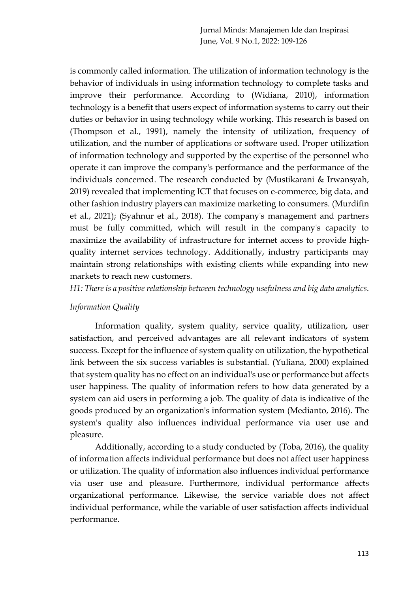is commonly called information. The utilization of information technology is the behavior of individuals in using information technology to complete tasks and improve their performance. According to (Widiana, 2010), information technology is a benefit that users expect of information systems to carry out their duties or behavior in using technology while working. This research is based on (Thompson et al., 1991), namely the intensity of utilization, frequency of utilization, and the number of applications or software used. Proper utilization of information technology and supported by the expertise of the personnel who operate it can improve the company's performance and the performance of the individuals concerned. The research conducted by (Mustikarani & Irwansyah, 2019) revealed that implementing ICT that focuses on e-commerce, big data, and other fashion industry players can maximize marketing to consumers. (Murdifin et al., 2021); (Syahnur et al., 2018). The company's management and partners must be fully committed, which will result in the company's capacity to maximize the availability of infrastructure for internet access to provide highquality internet services technology. Additionally, industry participants may maintain strong relationships with existing clients while expanding into new markets to reach new customers.

*H1: There is a positive relationship between technology usefulness and big data analytics*.

## *Information Quality*

Information quality, system quality, service quality, utilization, user satisfaction, and perceived advantages are all relevant indicators of system success. Except for the influence of system quality on utilization, the hypothetical link between the six success variables is substantial. (Yuliana, 2000) explained that system quality has no effect on an individual's use or performance but affects user happiness. The quality of information refers to how data generated by a system can aid users in performing a job. The quality of data is indicative of the goods produced by an organization's information system (Medianto, 2016). The system's quality also influences individual performance via user use and pleasure.

Additionally, according to a study conducted by (Toba, 2016), the quality of information affects individual performance but does not affect user happiness or utilization. The quality of information also influences individual performance via user use and pleasure. Furthermore, individual performance affects organizational performance. Likewise, the service variable does not affect individual performance, while the variable of user satisfaction affects individual performance.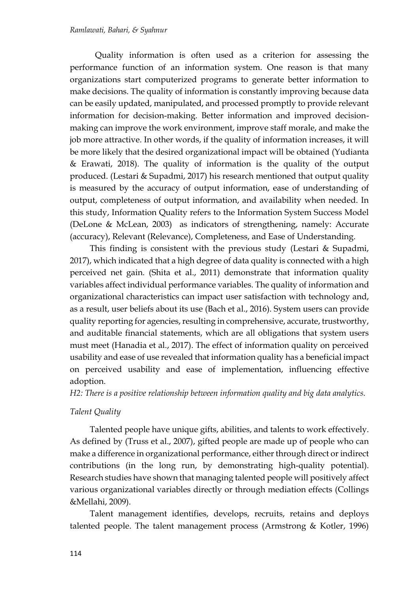Quality information is often used as a criterion for assessing the performance function of an information system. One reason is that many organizations start computerized programs to generate better information to make decisions. The quality of information is constantly improving because data can be easily updated, manipulated, and processed promptly to provide relevant information for decision-making. Better information and improved decisionmaking can improve the work environment, improve staff morale, and make the job more attractive. In other words, if the quality of information increases, it will be more likely that the desired organizational impact will be obtained (Yudianta & Erawati, 2018). The quality of information is the quality of the output produced. (Lestari & Supadmi, 2017) his research mentioned that output quality is measured by the accuracy of output information, ease of understanding of output, completeness of output information, and availability when needed. In this study, Information Quality refers to the Information System Success Model (DeLone & McLean, 2003) as indicators of strengthening, namely: Accurate (accuracy), Relevant (Relevance), Completeness, and Ease of Understanding.

This finding is consistent with the previous study (Lestari & Supadmi, 2017), which indicated that a high degree of data quality is connected with a high perceived net gain. (Shita et al., 2011) demonstrate that information quality variables affect individual performance variables. The quality of information and organizational characteristics can impact user satisfaction with technology and, as a result, user beliefs about its use (Bach et al., 2016). System users can provide quality reporting for agencies, resulting in comprehensive, accurate, trustworthy, and auditable financial statements, which are all obligations that system users must meet (Hanadia et al., 2017). The effect of information quality on perceived usability and ease of use revealed that information quality has a beneficial impact on perceived usability and ease of implementation, influencing effective adoption.

*H2: There is a positive relationship between information quality and big data analytics.*

## *Talent Quality*

Talented people have unique gifts, abilities, and talents to work effectively. As defined by (Truss et al., 2007), gifted people are made up of people who can make a difference in organizational performance, either through direct or indirect contributions (in the long run, by demonstrating high-quality potential). Research studies have shown that managing talented people will positively affect various organizational variables directly or through mediation effects (Collings &Mellahi, 2009).

Talent management identifies, develops, recruits, retains and deploys talented people. The talent management process (Armstrong & Kotler, 1996)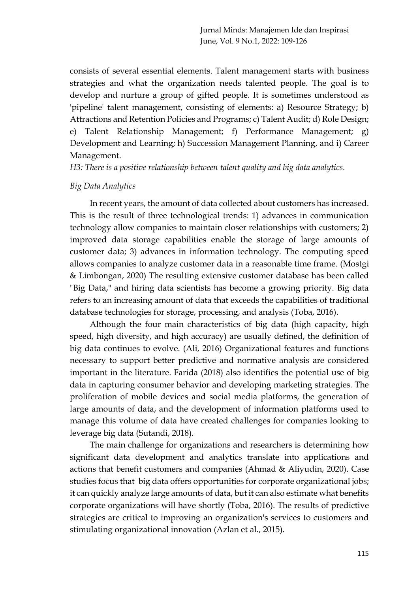consists of several essential elements. Talent management starts with business strategies and what the organization needs talented people. The goal is to develop and nurture a group of gifted people. It is sometimes understood as 'pipeline' talent management, consisting of elements: a) Resource Strategy; b) Attractions and Retention Policies and Programs; c) Talent Audit; d) Role Design; e) Talent Relationship Management; f) Performance Management; g) Development and Learning; h) Succession Management Planning, and i) Career Management.

*H3: There is a positive relationship between talent quality and big data analytics.*

#### *Big Data Analytics*

In recent years, the amount of data collected about customers has increased. This is the result of three technological trends: 1) advances in communication technology allow companies to maintain closer relationships with customers; 2) improved data storage capabilities enable the storage of large amounts of customer data; 3) advances in information technology. The computing speed allows companies to analyze customer data in a reasonable time frame. (Mostgi & Limbongan, 2020) The resulting extensive customer database has been called "Big Data," and hiring data scientists has become a growing priority. Big data refers to an increasing amount of data that exceeds the capabilities of traditional database technologies for storage, processing, and analysis (Toba, 2016).

Although the four main characteristics of big data (high capacity, high speed, high diversity, and high accuracy) are usually defined, the definition of big data continues to evolve. (Ali, 2016) Organizational features and functions necessary to support better predictive and normative analysis are considered important in the literature. Farida (2018) also identifies the potential use of big data in capturing consumer behavior and developing marketing strategies. The proliferation of mobile devices and social media platforms, the generation of large amounts of data, and the development of information platforms used to manage this volume of data have created challenges for companies looking to leverage big data (Sutandi, 2018).

The main challenge for organizations and researchers is determining how significant data development and analytics translate into applications and actions that benefit customers and companies (Ahmad & Aliyudin, 2020). Case studies focus that big data offers opportunities for corporate organizational jobs; it can quickly analyze large amounts of data, but it can also estimate what benefits corporate organizations will have shortly (Toba, 2016). The results of predictive strategies are critical to improving an organization's services to customers and stimulating organizational innovation (Azlan et al., 2015).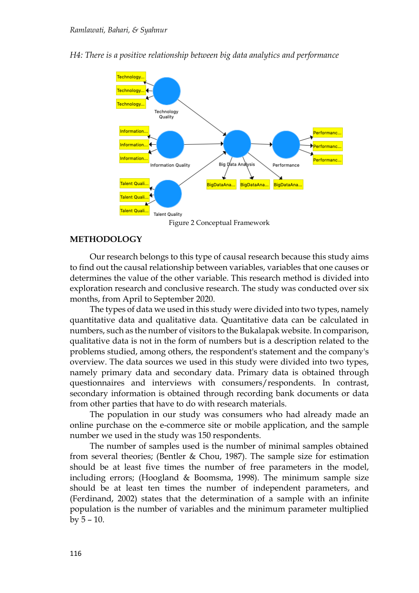



Figure 2 Conceptual Framework

#### **METHODOLOGY**

Our research belongs to this type of causal research because this study aims to find out the causal relationship between variables, variables that one causes or determines the value of the other variable. This research method is divided into exploration research and conclusive research. The study was conducted over six months, from April to September 2020.

The types of data we used in this study were divided into two types, namely quantitative data and qualitative data. Quantitative data can be calculated in numbers, such as the number of visitors to the Bukalapak website. In comparison, qualitative data is not in the form of numbers but is a description related to the problems studied, among others, the respondent's statement and the company's overview. The data sources we used in this study were divided into two types, namely primary data and secondary data. Primary data is obtained through questionnaires and interviews with consumers/respondents. In contrast, secondary information is obtained through recording bank documents or data from other parties that have to do with research materials.

The population in our study was consumers who had already made an online purchase on the e-commerce site or mobile application, and the sample number we used in the study was 150 respondents.

The number of samples used is the number of minimal samples obtained from several theories; (Bentler & Chou, 1987). The sample size for estimation should be at least five times the number of free parameters in the model, including errors; (Hoogland & Boomsma, 1998). The minimum sample size should be at least ten times the number of independent parameters, and (Ferdinand, 2002) states that the determination of a sample with an infinite population is the number of variables and the minimum parameter multiplied by 5 – 10.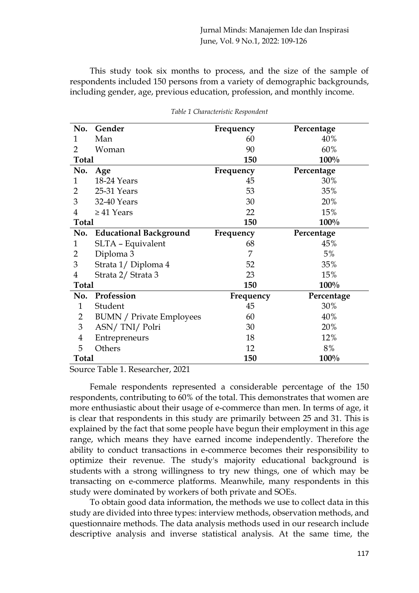This study took six months to process, and the size of the sample of respondents included 150 persons from a variety of demographic backgrounds, including gender, age, previous education, profession, and monthly income.

| No.            | Gender                          | Frequency | Percentage |
|----------------|---------------------------------|-----------|------------|
| 1              | Man                             | 60        | 40%        |
| 2              | Woman                           | 90        | 60%        |
| <b>Total</b>   |                                 | 150       | 100%       |
| No.            | Age                             | Frequency | Percentage |
| 1              | 18-24 Years                     | 45        | 30%        |
| 2              | 25-31 Years                     | 53        | 35%        |
| 3              | 32-40 Years                     | 30        | 20%        |
| 4              | $\geq$ 41 Years                 | 22        | 15%        |
| <b>Total</b>   |                                 | 150       | 100%       |
| No.            | <b>Educational Background</b>   | Frequency | Percentage |
| 1              | SLTA - Equivalent               | 68        | 45%        |
| 2              | Diploma 3                       | 7         | 5%         |
| 3              | Strata 1/ Diploma 4             | 52        | 35%        |
| 4              | Strata 2/ Strata 3              | 23        | 15%        |
| <b>Total</b>   |                                 | 150       | 100%       |
| No.            | Profession                      | Frequency | Percentage |
| $\mathbf{1}$   | Student                         | 45        | 30%        |
| $\overline{2}$ | <b>BUMN</b> / Private Employees | 60        | 40%        |
| 3              | ASN/TNI/Polri                   | 30        | 20%        |
| 4              | Entrepreneurs                   | 18        | 12%        |
| 5              | Others                          | 12        | 8%         |
| <b>Total</b>   |                                 | 150       | 100%       |

*Table 1 Characteristic Respondent*

Source Table 1. Researcher, 2021

Female respondents represented a considerable percentage of the 150 respondents, contributing to 60% of the total. This demonstrates that women are more enthusiastic about their usage of e-commerce than men. In terms of age, it is clear that respondents in this study are primarily between 25 and 31. This is explained by the fact that some people have begun their employment in this age range, which means they have earned income independently. Therefore the ability to conduct transactions in e-commerce becomes their responsibility to optimize their revenue. The study's majority educational background is students with a strong willingness to try new things, one of which may be transacting on e-commerce platforms. Meanwhile, many respondents in this study were dominated by workers of both private and SOEs.

To obtain good data information, the methods we use to collect data in this study are divided into three types: interview methods, observation methods, and questionnaire methods. The data analysis methods used in our research include descriptive analysis and inverse statistical analysis. At the same time, the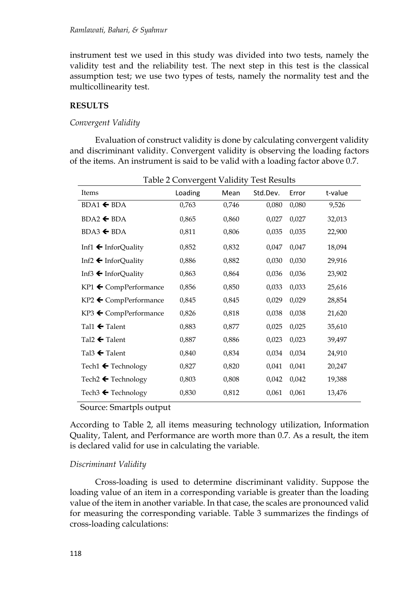instrument test we used in this study was divided into two tests, namely the validity test and the reliability test. The next step in this test is the classical assumption test; we use two types of tests, namely the normality test and the multicollinearity test.

### **RESULTS**

#### *Convergent Validity*

Evaluation of construct validity is done by calculating convergent validity and discriminant validity. Convergent validity is observing the loading factors of the items. An instrument is said to be valid with a loading factor above 0.7.

|                                   | Table 2 Convergent Validity |       | Test Results |       |         |
|-----------------------------------|-----------------------------|-------|--------------|-------|---------|
| Items                             | Loading                     | Mean  | Std.Dev.     | Error | t-value |
| $BDA1 \leftarrow BDA$             | 0,763                       | 0,746 | 0,080        | 0,080 | 9,526   |
| $BDA2 \leftarrow BDA$             | 0,865                       | 0,860 | 0,027        | 0,027 | 32,013  |
| $BDA3 \triangleleft BDA$          | 0,811                       | 0,806 | 0,035        | 0,035 | 22,900  |
| Inf1 $\leftarrow$ InforQuality    | 0,852                       | 0,832 | 0,047        | 0,047 | 18,094  |
| Inf2 $\leftarrow$ InforQuality    | 0,886                       | 0,882 | 0,030        | 0,030 | 29,916  |
| Inf3 $\leftarrow$ InforQuality    | 0,863                       | 0,864 | 0,036        | 0,036 | 23,902  |
| KP1 ← CompPerformance             | 0,856                       | 0,850 | 0,033        | 0,033 | 25,616  |
| $KP2 \leftarrow$ CompPerformance  | 0,845                       | 0,845 | 0,029        | 0,029 | 28,854  |
| KP3 ← CompPerformance             | 0,826                       | 0,818 | 0,038        | 0,038 | 21,620  |
| Tal1 $\blacktriangle$ Talent      | 0,883                       | 0,877 | 0,025        | 0,025 | 35,610  |
| Tal2 $\leftarrow$ Talent          | 0,887                       | 0,886 | 0,023        | 0,023 | 39,497  |
| Tal $3 \leftarrow$ Talent         | 0,840                       | 0,834 | 0,034        | 0,034 | 24,910  |
| Tech1 $\leftarrow$ Technology     | 0,827                       | 0,820 | 0,041        | 0,041 | 20,247  |
| Tech2 $\blacktriangle$ Technology | 0,803                       | 0,808 | 0,042        | 0,042 | 19,388  |
| Tech3 $\leftarrow$ Technology     | 0,830                       | 0,812 | 0,061        | 0,061 | 13,476  |

Table 2 Convergent Validity Test Results

Source: Smartpls output

According to Table 2, all items measuring technology utilization, Information Quality, Talent, and Performance are worth more than 0.7. As a result, the item is declared valid for use in calculating the variable.

## *Discriminant Validity*

Cross-loading is used to determine discriminant validity. Suppose the loading value of an item in a corresponding variable is greater than the loading value of the item in another variable. In that case, the scales are pronounced valid for measuring the corresponding variable. Table 3 summarizes the findings of cross-loading calculations: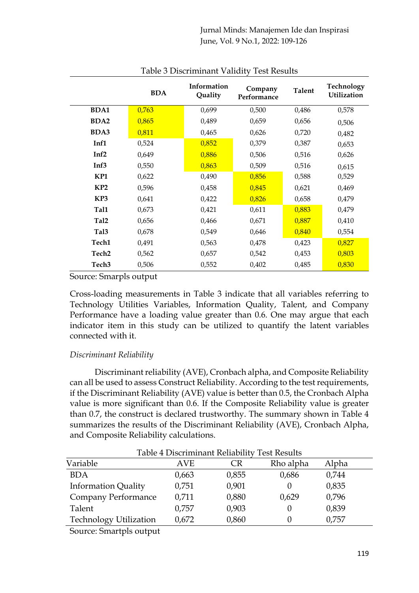Jurnal Minds: Manajemen Ide dan Inspirasi June, Vol. 9 No.1, 2022: 109-126

|                   | <b>BDA</b> | Information<br>Quality | Company<br>Performance | <b>Talent</b> | Technology<br><b>Utilization</b> |
|-------------------|------------|------------------------|------------------------|---------------|----------------------------------|
| <b>BDA1</b>       | 0,763      | 0,699                  | 0,500                  | 0,486         | 0,578                            |
| <b>BDA2</b>       | 0,865      | 0,489                  | 0,659                  | 0,656         | 0,506                            |
| <b>BDA3</b>       | 0,811      | 0,465                  | 0,626                  | 0,720         | 0,482                            |
| Inf1              | 0,524      | 0,852                  | 0,379                  | 0,387         | 0,653                            |
| Inf <sub>2</sub>  | 0,649      | 0,886                  | 0,506                  | 0,516         | 0,626                            |
| Inf <sub>3</sub>  | 0,550      | 0,863                  | 0,509                  | 0,516         | 0,615                            |
| KP1               | 0,622      | 0,490                  | 0,856                  | 0,588         | 0,529                            |
| KP <sub>2</sub>   | 0,596      | 0,458                  | 0,845                  | 0,621         | 0,469                            |
| KP3               | 0,641      | 0,422                  | 0,826                  | 0,658         | 0,479                            |
| Tal1              | 0,673      | 0,421                  | 0,611                  | 0,883         | 0,479                            |
| Tal <sub>2</sub>  | 0,656      | 0,466                  | 0,671                  | 0,887         | 0,410                            |
| Tal <sub>3</sub>  | 0,678      | 0,549                  | 0,646                  | 0,840         | 0,554                            |
| Tech1             | 0,491      | 0,563                  | 0,478                  | 0,423         | 0,827                            |
| Tech <sub>2</sub> | 0,562      | 0,657                  | 0,542                  | 0,453         | 0,803                            |
| Tech <sub>3</sub> | 0,506      | 0,552                  | 0,402                  | 0,485         | 0,830                            |

#### Table 3 Discriminant Validity Test Results

Source: Smarpls output

Cross-loading measurements in Table 3 indicate that all variables referring to Technology Utilities Variables, Information Quality, Talent, and Company Performance have a loading value greater than 0.6. One may argue that each indicator item in this study can be utilized to quantify the latent variables connected with it.

## *Discriminant Reliability*

Discriminant reliability (AVE), Cronbach alpha, and Composite Reliability can all be used to assess Construct Reliability. According to the test requirements, if the Discriminant Reliability (AVE) value is better than 0.5, the Cronbach Alpha value is more significant than 0.6. If the Composite Reliability value is greater than 0.7, the construct is declared trustworthy. The summary shown in Table 4 summarizes the results of the Discriminant Reliability (AVE), Cronbach Alpha, and Composite Reliability calculations.

| Table 4 Discriminant Reliability Test Results |       |       |           |       |  |
|-----------------------------------------------|-------|-------|-----------|-------|--|
| Variable                                      | AVE   | CR    | Rho alpha | Alpha |  |
| <b>BDA</b>                                    | 0,663 | 0,855 | 0,686     | 0,744 |  |
| <b>Information Quality</b>                    | 0,751 | 0,901 | $\theta$  | 0,835 |  |
| Company Performance                           | 0,711 | 0,880 | 0,629     | 0,796 |  |
| Talent                                        | 0,757 | 0,903 | $\theta$  | 0,839 |  |
| <b>Technology Utilization</b>                 | 0,672 | 0,860 | 0         | 0,757 |  |
| Common Constato Localization                  |       |       |           |       |  |

Source: Smartpls output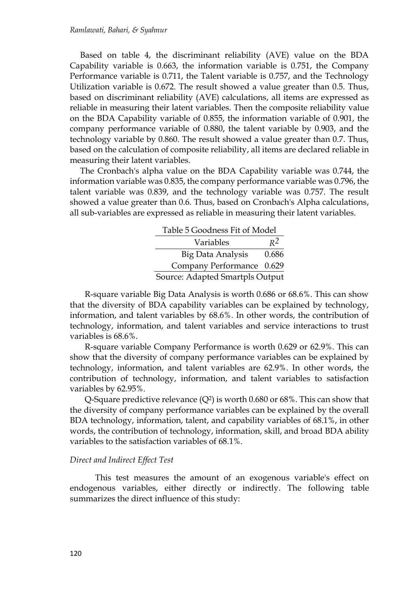Based on table 4, the discriminant reliability (AVE) value on the BDA Capability variable is 0.663, the information variable is 0.751, the Company Performance variable is 0.711, the Talent variable is 0.757, and the Technology Utilization variable is 0.672. The result showed a value greater than 0.5. Thus, based on discriminant reliability (AVE) calculations, all items are expressed as reliable in measuring their latent variables. Then the composite reliability value on the BDA Capability variable of 0.855, the information variable of 0.901, the company performance variable of 0.880, the talent variable by 0.903, and the technology variable by 0.860. The result showed a value greater than 0.7. Thus, based on the calculation of composite reliability, all items are declared reliable in measuring their latent variables.

The Cronbach's alpha value on the BDA Capability variable was 0.744, the information variable was 0.835, the company performance variable was 0.796, the talent variable was 0.839, and the technology variable was 0.757. The result showed a value greater than 0.6. Thus, based on Cronbach's Alpha calculations, all sub-variables are expressed as reliable in measuring their latent variables.

|                                 | Table 5 Goodness Fit of Model |       |  |  |
|---------------------------------|-------------------------------|-------|--|--|
|                                 | Variables                     | $R^2$ |  |  |
|                                 | <b>Big Data Analysis</b>      | 0.686 |  |  |
|                                 | Company Performance 0.629     |       |  |  |
| Source: Adapted Smartpls Output |                               |       |  |  |

R-square variable Big Data Analysis is worth 0.686 or 68.6%. This can show that the diversity of BDA capability variables can be explained by technology, information, and talent variables by 68.6%. In other words, the contribution of technology, information, and talent variables and service interactions to trust variables is 68.6%.

R-square variable Company Performance is worth 0.629 or 62.9%. This can show that the diversity of company performance variables can be explained by technology, information, and talent variables are 62.9%. In other words, the contribution of technology, information, and talent variables to satisfaction variables by 62.95%.

Q-Square predictive relevance  $(Q^2)$  is worth 0.680 or 68%. This can show that the diversity of company performance variables can be explained by the overall BDA technology, information, talent, and capability variables of 68.1%, in other words, the contribution of technology, information, skill, and broad BDA ability variables to the satisfaction variables of 68.1%.

#### *Direct and Indirect Effect Test*

This test measures the amount of an exogenous variable's effect on endogenous variables, either directly or indirectly. The following table summarizes the direct influence of this study: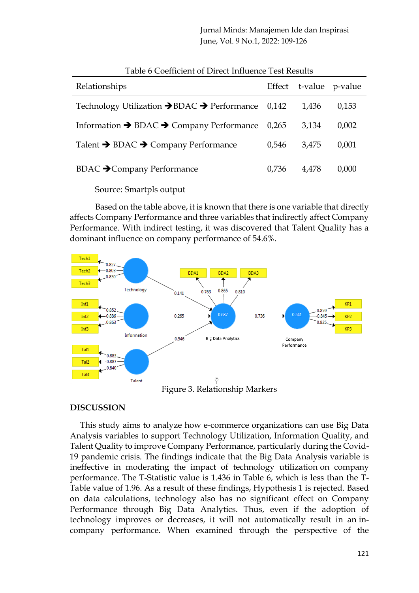Jurnal Minds: Manajemen Ide dan Inspirasi June, Vol. 9 No.1, 2022: 109-126

| Relationships                                                             |       | Effect t-value p-value |       |
|---------------------------------------------------------------------------|-------|------------------------|-------|
| Technology Utilization $\rightarrow$ BDAC $\rightarrow$ Performance 0,142 |       | 1.436                  | 0,153 |
| Information $\rightarrow$ BDAC $\rightarrow$ Company Performance 0,265    |       | 3,134                  | 0,002 |
| Talent → BDAC → Company Performance                                       | 0,546 | 3.475                  | 0,001 |
| <b>BDAC → Company Performance</b>                                         | 0,736 | 4.478                  | 0,000 |

| Table 6 Coefficient of Direct Influence Test Results |
|------------------------------------------------------|
|------------------------------------------------------|

Source: Smartpls output

Based on the table above, it is known that there is one variable that directly affects Company Performance and three variables that indirectly affect Company Performance. With indirect testing, it was discovered that Talent Quality has a dominant influence on company performance of 54.6%.



Figure 3. Relationship Markers

## **DISCUSSION**

This study aims to analyze how e-commerce organizations can use Big Data Analysis variables to support Technology Utilization, Information Quality, and Talent Quality to improve Company Performance, particularly during the Covid-19 pandemic crisis. The findings indicate that the Big Data Analysis variable is ineffective in moderating the impact of technology utilization on company performance. The T-Statistic value is 1.436 in Table 6, which is less than the T-Table value of 1.96. As a result of these findings, Hypothesis 1 is rejected. Based on data calculations, technology also has no significant effect on Company Performance through Big Data Analytics. Thus, even if the adoption of technology improves or decreases, it will not automatically result in an incompany performance. When examined through the perspective of the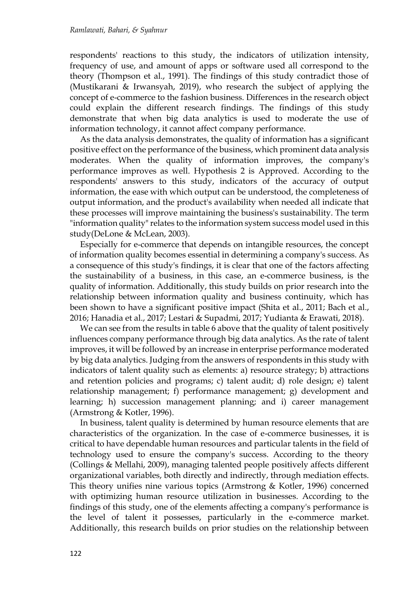respondents' reactions to this study, the indicators of utilization intensity, frequency of use, and amount of apps or software used all correspond to the theory (Thompson et al., 1991). The findings of this study contradict those of (Mustikarani & Irwansyah, 2019), who research the subject of applying the concept of e-commerce to the fashion business. Differences in the research object could explain the different research findings. The findings of this study demonstrate that when big data analytics is used to moderate the use of information technology, it cannot affect company performance.

As the data analysis demonstrates, the quality of information has a significant positive effect on the performance of the business, which prominent data analysis moderates. When the quality of information improves, the company's performance improves as well. Hypothesis 2 is Approved. According to the respondents' answers to this study, indicators of the accuracy of output information, the ease with which output can be understood, the completeness of output information, and the product's availability when needed all indicate that these processes will improve maintaining the business's sustainability. The term "information quality" relates to the information system success model used in this study(DeLone & McLean, 2003).

Especially for e-commerce that depends on intangible resources, the concept of information quality becomes essential in determining a company's success. As a consequence of this study's findings, it is clear that one of the factors affecting the sustainability of a business, in this case, an e-commerce business, is the quality of information. Additionally, this study builds on prior research into the relationship between information quality and business continuity, which has been shown to have a significant positive impact (Shita et al., 2011; Bach et al., 2016; Hanadia et al., 2017; Lestari & Supadmi, 2017; Yudianta & Erawati, 2018).

We can see from the results in table 6 above that the quality of talent positively influences company performance through big data analytics. As the rate of talent improves, it will be followed by an increase in enterprise performance moderated by big data analytics. Judging from the answers of respondents in this study with indicators of talent quality such as elements: a) resource strategy; b) attractions and retention policies and programs; c) talent audit; d) role design; e) talent relationship management; f) performance management; g) development and learning; h) succession management planning; and i) career management (Armstrong & Kotler, 1996).

In business, talent quality is determined by human resource elements that are characteristics of the organization. In the case of e-commerce businesses, it is critical to have dependable human resources and particular talents in the field of technology used to ensure the company's success. According to the theory (Collings & Mellahi, 2009), managing talented people positively affects different organizational variables, both directly and indirectly, through mediation effects. This theory unifies nine various topics (Armstrong & Kotler, 1996) concerned with optimizing human resource utilization in businesses. According to the findings of this study, one of the elements affecting a company's performance is the level of talent it possesses, particularly in the e-commerce market. Additionally, this research builds on prior studies on the relationship between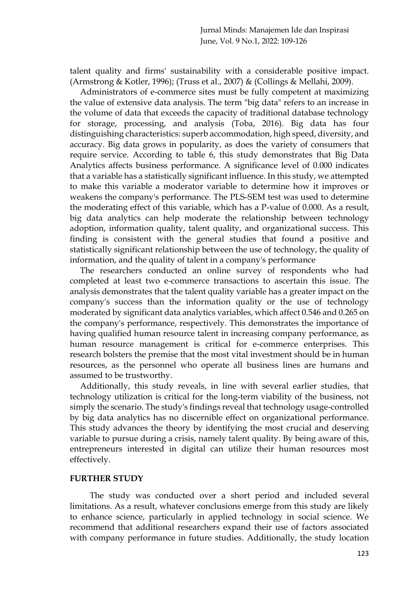talent quality and firms' sustainability with a considerable positive impact. (Armstrong & Kotler, 1996); (Truss et al., 2007) & (Collings & Mellahi, 2009).

Administrators of e-commerce sites must be fully competent at maximizing the value of extensive data analysis. The term "big data" refers to an increase in the volume of data that exceeds the capacity of traditional database technology for storage, processing, and analysis (Toba, 2016). Big data has four distinguishing characteristics: superb accommodation, high speed, diversity, and accuracy. Big data grows in popularity, as does the variety of consumers that require service. According to table 6, this study demonstrates that Big Data Analytics affects business performance. A significance level of 0.000 indicates that a variable has a statistically significant influence. In this study, we attempted to make this variable a moderator variable to determine how it improves or weakens the company's performance. The PLS-SEM test was used to determine the moderating effect of this variable, which has a P-value of 0.000. As a result, big data analytics can help moderate the relationship between technology adoption, information quality, talent quality, and organizational success. This finding is consistent with the general studies that found a positive and statistically significant relationship between the use of technology, the quality of information, and the quality of talent in a company's performance

The researchers conducted an online survey of respondents who had completed at least two e-commerce transactions to ascertain this issue. The analysis demonstrates that the talent quality variable has a greater impact on the company's success than the information quality or the use of technology moderated by significant data analytics variables, which affect 0.546 and 0.265 on the company's performance, respectively. This demonstrates the importance of having qualified human resource talent in increasing company performance, as human resource management is critical for e-commerce enterprises. This research bolsters the premise that the most vital investment should be in human resources, as the personnel who operate all business lines are humans and assumed to be trustworthy.

Additionally, this study reveals, in line with several earlier studies, that technology utilization is critical for the long-term viability of the business, not simply the scenario. The study's findings reveal that technology usage-controlled by big data analytics has no discernible effect on organizational performance. This study advances the theory by identifying the most crucial and deserving variable to pursue during a crisis, namely talent quality. By being aware of this, entrepreneurs interested in digital can utilize their human resources most effectively.

#### **FURTHER STUDY**

The study was conducted over a short period and included several limitations. As a result, whatever conclusions emerge from this study are likely to enhance science, particularly in applied technology in social science. We recommend that additional researchers expand their use of factors associated with company performance in future studies. Additionally, the study location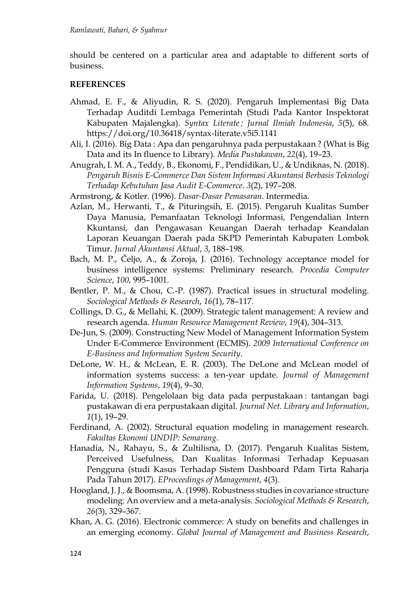should be centered on a particular area and adaptable to different sorts of business.

## **REFERENCES**

- Ahmad, E. F., & Aliyudin, R. S. (2020). Pengaruh Implementasi Big Data Terhadap Auditdi Lembaga Pemerintah (Studi Pada Kantor Inspektorat Kabupaten Majalengka). *Syntax Literate ; Jurnal Ilmiah Indonesia*, *5*(5), 68. https://doi.org/10.36418/syntax-literate.v5i5.1141
- Ali, I. (2016). Big Data : Apa dan pengaruhnya pada perpustakaan ? (What is Big Data and its In fluence to Library). *Media Pustakawan*, *22*(4), 19–23.
- Anugrah, I. M. A., Teddy, B., Ekonomi, F., Pendidikan, U., & Undiknas, N. (2018). *Pengaruh Bisnis E-Commerce Dan Sistem Informasi Akuntansi Berbasis Teknologi Terhadap Kebutuhan Jasa Audit E-Commerce*. *3*(2), 197–208.

Armstrong, & Kotler. (1996). *Dasar-Dasar Pemasaran*. Intermedia.

- Azlan, M., Herwanti, T., & Pituringsih, E. (2015). Pengaruh Kualitas Sumber Daya Manusia, Pemanfaatan Teknologi Informasi, Pengendalian Intern Kkuntansi, dan Pengawasan Keuangan Daerah terhadap Keandalan Laporan Keuangan Daerah pada SKPD Pemerintah Kabupaten Lombok Timur. *Jurnal Akuntansi Aktual*, *3*, 188–198.
- Bach, M. P., Čeljo, A., & Zoroja, J. (2016). Technology acceptance model for business intelligence systems: Preliminary research. *Procedia Computer Science*, *100*, 995–1001.
- Bentler, P. M., & Chou, C.-P. (1987). Practical issues in structural modeling. *Sociological Methods & Research*, *16*(1), 78–117.
- Collings, D. G., & Mellahi, K. (2009). Strategic talent management: A review and research agenda. *Human Resource Management Review*, *19*(4), 304–313.
- De-Jun, S. (2009). Constructing New Model of Management Information System Under E-Commerce Environment (ECMIS). *2009 International Conference on E-Business and Information System Security*.
- DeLone, W. H., & McLean, E. R. (2003). The DeLone and McLean model of information systems success: a ten-year update. *Journal of Management Information Systems*, *19*(4), 9–30.
- Farida, U. (2018). Pengelolaan big data pada perpustakaan : tantangan bagi pustakawan di era perpustakaan digital. *Journal Net. Library and Information*, *1*(1), 19–29.
- Ferdinand, A. (2002). Structural equation modeling in management research. *Fakultas Ekonomi UNDIP: Semarang*.
- Hanadia, N., Rahayu, S., & Zultilisna, D. (2017). Pengaruh Kualitas Sistem, Perceived Usefulness, Dan Kualitas Informasi Terhadap Kepuasan Pengguna (studi Kasus Terhadap Sistem Dashboard Pdam Tirta Raharja Pada Tahun 2017). *EProceedings of Management*, *4*(3).
- Hoogland, J. J., & Boomsma, A. (1998). Robustness studies in covariance structure modeling: An overview and a meta-analysis. *Sociological Methods & Research*, *26*(3), 329–367.
- Khan, A. G. (2016). Electronic commerce: A study on benefits and challenges in an emerging economy. *Global Journal of Management and Business Research*,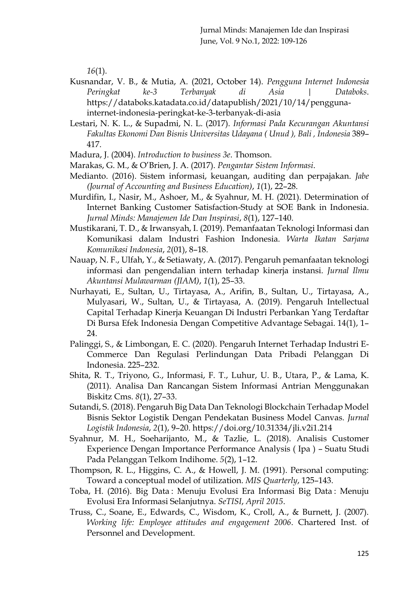*16*(1).

- Kusnandar, V. B., & Mutia, A. (2021, October 14). *Pengguna Internet Indonesia Peringkat ke-3 Terbanyak di Asia | Databoks*. https://databoks.katadata.co.id/datapublish/2021/10/14/penggunainternet-indonesia-peringkat-ke-3-terbanyak-di-asia
- Lestari, N. K. L., & Supadmi, N. L. (2017). *Informasi Pada Kecurangan Akuntansi Fakultas Ekonomi Dan Bisnis Universitas Udayana ( Unud ), Bali , Indonesia* 389– 417.
- Madura, J. (2004). *Introduction to business 3e*. Thomson.
- Marakas, G. M., & O'Brien, J. A. (2017). *Pengantar Sistem Informasi*.
- Medianto. (2016). Sistem informasi, keuangan, auditing dan perpajakan. *Jabe (Journal of Accounting and Business Education)*, *1*(1), 22–28.
- Murdifin, I., Nasir, M., Ashoer, M., & Syahnur, M. H. (2021). Determination of Internet Banking Customer Satisfaction-Study at SOE Bank in Indonesia. *Jurnal Minds: Manajemen Ide Dan Inspirasi*, *8*(1), 127–140.
- Mustikarani, T. D., & Irwansyah, I. (2019). Pemanfaatan Teknologi Informasi dan Komunikasi dalam Industri Fashion Indonesia. *Warta Ikatan Sarjana Komunikasi Indonesia*, *2*(01), 8–18.
- Nauap, N. F., Ulfah, Y., & Setiawaty, A. (2017). Pengaruh pemanfaatan teknologi informasi dan pengendalian intern terhadap kinerja instansi. *Jurnal Ilmu Akuntansi Mulawarman (JIAM)*, *1*(1), 25–33.
- Nurhayati, E., Sultan, U., Tirtayasa, A., Arifin, B., Sultan, U., Tirtayasa, A., Mulyasari, W., Sultan, U., & Tirtayasa, A. (2019). Pengaruh Intellectual Capital Terhadap Kinerja Keuangan Di Industri Perbankan Yang Terdaftar Di Bursa Efek Indonesia Dengan Competitive Advantage Sebagai. 14(1), 1– 24.
- Palinggi, S., & Limbongan, E. C. (2020). Pengaruh Internet Terhadap Industri E-Commerce Dan Regulasi Perlindungan Data Pribadi Pelanggan Di Indonesia. 225–232.
- Shita, R. T., Triyono, G., Informasi, F. T., Luhur, U. B., Utara, P., & Lama, K. (2011). Analisa Dan Rancangan Sistem Informasi Antrian Menggunakan Biskitz Cms. *8*(1), 27–33.
- Sutandi, S. (2018). Pengaruh Big Data Dan Teknologi Blockchain Terhadap Model Bisnis Sektor Logistik Dengan Pendekatan Business Model Canvas. *Jurnal Logistik Indonesia*, *2*(1), 9–20. https://doi.org/10.31334/jli.v2i1.214
- Syahnur, M. H., Soeharijanto, M., & Tazlie, L. (2018). Analisis Customer Experience Dengan Importance Performance Analysis ( Ipa ) – Suatu Studi Pada Pelanggan Telkom Indihome. *5*(2), 1–12.
- Thompson, R. L., Higgins, C. A., & Howell, J. M. (1991). Personal computing: Toward a conceptual model of utilization. *MIS Quarterly*, 125–143.
- Toba, H. (2016). Big Data : Menuju Evolusi Era Informasi Big Data : Menuju Evolusi Era Informasi Selanjutnya. *SeTISI*, *April 2015*.
- Truss, C., Soane, E., Edwards, C., Wisdom, K., Croll, A., & Burnett, J. (2007). *Working life: Employee attitudes and engagement 2006*. Chartered Inst. of Personnel and Development.